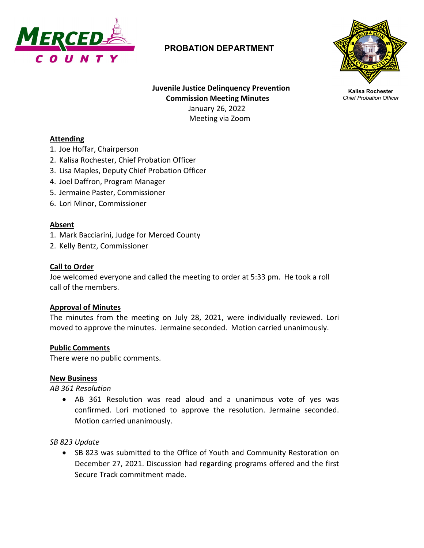

# **PROBATION DEPARTMENT**



**Kalisa Rochester** *Chief Probation Officer*

**Juvenile Justice Delinquency Prevention Commission Meeting Minutes** January 26, 2022 Meeting via Zoom

#### **Attending**

- 1. Joe Hoffar, Chairperson
- 2. Kalisa Rochester, Chief Probation Officer
- 3. Lisa Maples, Deputy Chief Probation Officer
- 4. Joel Daffron, Program Manager
- 5. Jermaine Paster, Commissioner
- 6. Lori Minor, Commissioner

#### **Absent**

- 1. Mark Bacciarini, Judge for Merced County
- 2. Kelly Bentz, Commissioner

#### **Call to Order**

Joe welcomed everyone and called the meeting to order at 5:33 pm. He took a roll call of the members.

#### **Approval of Minutes**

The minutes from the meeting on July 28, 2021, were individually reviewed. Lori moved to approve the minutes. Jermaine seconded. Motion carried unanimously.

#### **Public Comments**

There were no public comments.

#### **New Business**

*AB 361 Resolution*

• AB 361 Resolution was read aloud and a unanimous vote of yes was confirmed. Lori motioned to approve the resolution. Jermaine seconded. Motion carried unanimously.

*SB 823 Update*

• SB 823 was submitted to the Office of Youth and Community Restoration on December 27, 2021. Discussion had regarding programs offered and the first Secure Track commitment made.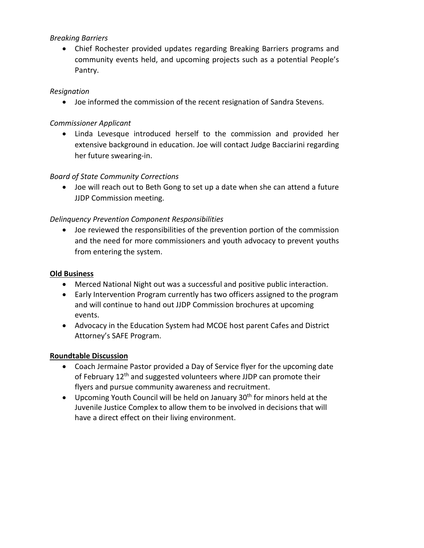# *Breaking Barriers*

• Chief Rochester provided updates regarding Breaking Barriers programs and community events held, and upcoming projects such as a potential People's Pantry.

## *Resignation*

• Joe informed the commission of the recent resignation of Sandra Stevens.

# *Commissioner Applicant*

• Linda Levesque introduced herself to the commission and provided her extensive background in education. Joe will contact Judge Bacciarini regarding her future swearing-in.

# *Board of State Community Corrections*

• Joe will reach out to Beth Gong to set up a date when she can attend a future JJDP Commission meeting.

# *Delinquency Prevention Component Responsibilities*

• Joe reviewed the responsibilities of the prevention portion of the commission and the need for more commissioners and youth advocacy to prevent youths from entering the system.

## **Old Business**

- Merced National Night out was a successful and positive public interaction.
- Early Intervention Program currently has two officers assigned to the program and will continue to hand out JJDP Commission brochures at upcoming events.
- Advocacy in the Education System had MCOE host parent Cafes and District Attorney's SAFE Program.

### **Roundtable Discussion**

- Coach Jermaine Pastor provided a Day of Service flyer for the upcoming date of February 12<sup>th</sup> and suggested volunteers where JJDP can promote their flyers and pursue community awareness and recruitment.
- Upcoming Youth Council will be held on January  $30<sup>th</sup>$  for minors held at the Juvenile Justice Complex to allow them to be involved in decisions that will have a direct effect on their living environment.